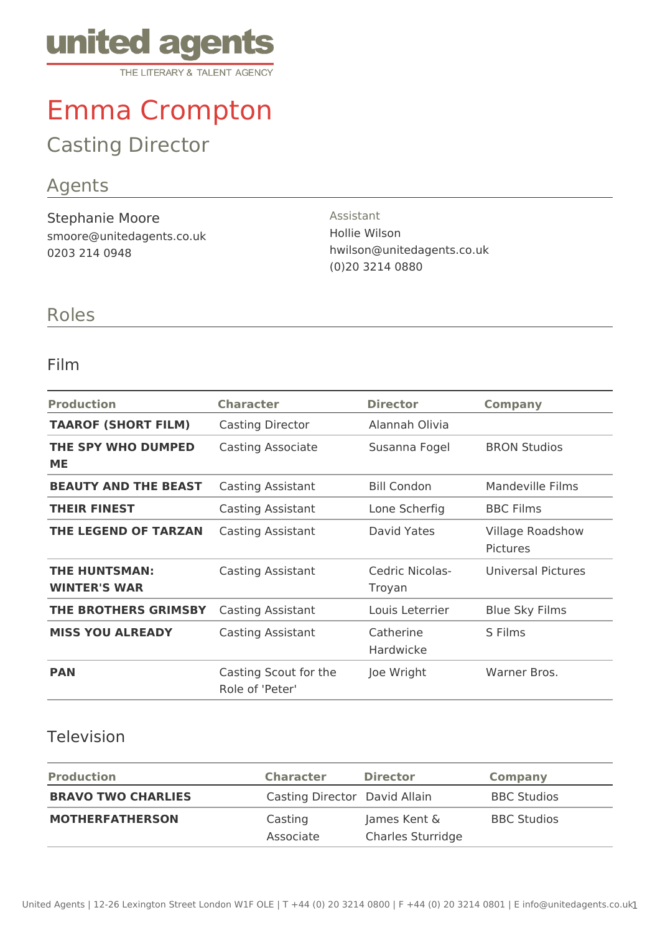

# Emma Crompton

## Casting Director

### Agents

Stephanie Moore smoore@unitedagents.co.uk 0203 214 0948

Assistant Hollie Wilson hwilson@unitedagents.co.uk (0)20 3214 0880

#### Roles

#### Film

| <b>Production</b>                           | <b>Character</b>                         | <b>Director</b>           | <b>Company</b>                             |
|---------------------------------------------|------------------------------------------|---------------------------|--------------------------------------------|
| <b>TAAROF (SHORT FILM)</b>                  | Casting Director                         | Alannah Olivia            |                                            |
| THE SPY WHO DUMPED<br><b>ME</b>             | Casting Associate                        | Susanna Fogel             | <b>BRON Studios</b>                        |
| <b>BEAUTY AND THE BEAST</b>                 | <b>Casting Assistant</b>                 | <b>Bill Condon</b>        | Mandeville Films                           |
| <b>THEIR FINEST</b>                         | Casting Assistant                        | Lone Scherfig             | <b>BBC Films</b>                           |
| THE LEGEND OF TARZAN                        | Casting Assistant                        | David Yates               | <b>Village Roadshow</b><br><b>Pictures</b> |
| <b>THE HUNTSMAN:</b><br><b>WINTER'S WAR</b> | Casting Assistant                        | Cedric Nicolas-<br>Troyan | <b>Universal Pictures</b>                  |
| <b>THE BROTHERS GRIMSBY</b>                 | Casting Assistant                        | Louis Leterrier           | <b>Blue Sky Films</b>                      |
| <b>MISS YOU ALREADY</b>                     | Casting Assistant                        | Catherine<br>Hardwicke    | S Films                                    |
| <b>PAN</b>                                  | Casting Scout for the<br>Role of 'Peter' | Joe Wright                | Warner Bros.                               |

#### Television

| <b>Production</b>         | <b>Character</b>              | <b>Director</b>                          | <b>Company</b>     |
|---------------------------|-------------------------------|------------------------------------------|--------------------|
| <b>BRAVO TWO CHARLIES</b> | Casting Director David Allain |                                          | <b>BBC Studios</b> |
| <b>MOTHERFATHERSON</b>    | Casting<br>Associate          | James Kent &<br><b>Charles Sturridge</b> | <b>BBC Studios</b> |